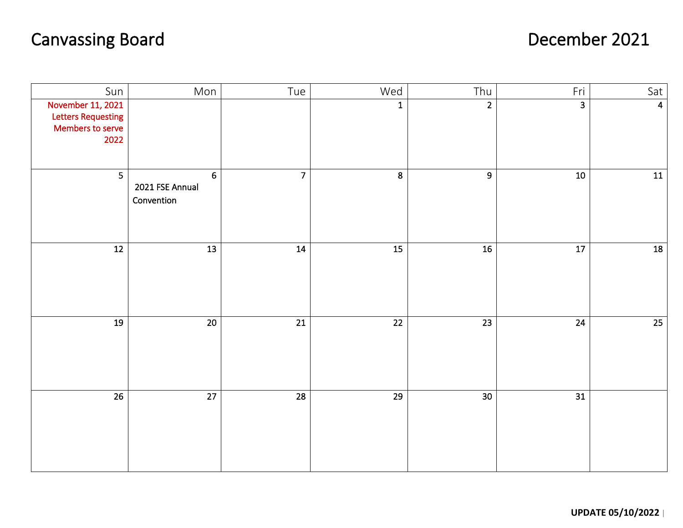## Canvassing Board **December 2021**

֞

| Sun                                                                        | Mon                                             | Tue             | Wed              | Thu             | Fri             | Sat                     |
|----------------------------------------------------------------------------|-------------------------------------------------|-----------------|------------------|-----------------|-----------------|-------------------------|
| November 11, 2021<br><b>Letters Requesting</b><br>Members to serve<br>2022 |                                                 |                 | $\mathbf 1$      | $\overline{2}$  | $\overline{3}$  | $\overline{\mathbf{4}}$ |
| $\overline{\mathbf{5}}$                                                    | $6\phantom{a}$<br>2021 FSE Annual<br>Convention | 7 <sup>1</sup>  | $\boldsymbol{8}$ | $\overline{9}$  | $10\,$          | 11                      |
| $\overline{12}$                                                            | $\overline{13}$                                 | 14              | $\overline{15}$  | 16              | $\overline{17}$ | 18                      |
| 19                                                                         | $\overline{20}$                                 | $\overline{21}$ | $\overline{22}$  | $\overline{23}$ | $\overline{24}$ | $\overline{25}$         |
| $\overline{26}$                                                            | $\overline{27}$                                 | $\overline{28}$ | $\overline{29}$  | 30              | $\overline{31}$ |                         |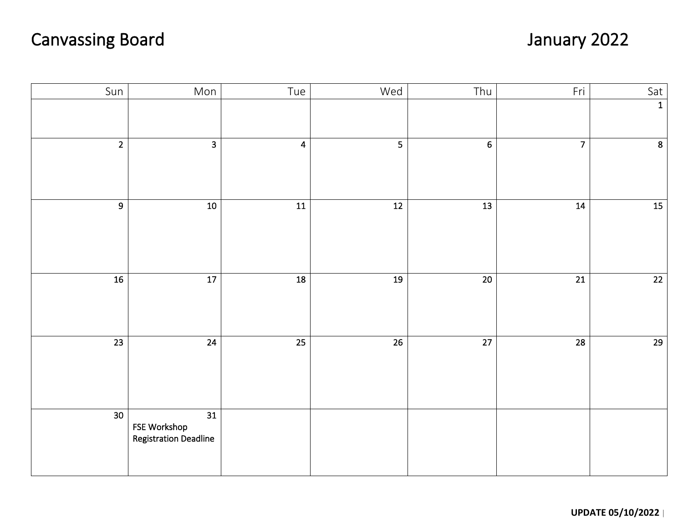## Canvassing Board January 2022

| Sun             | Mon                                                             | Tue                     | Wed             | Thu             | Fri             | Sat             |
|-----------------|-----------------------------------------------------------------|-------------------------|-----------------|-----------------|-----------------|-----------------|
|                 |                                                                 |                         |                 |                 |                 | $\overline{1}$  |
| $\overline{2}$  | $\overline{\mathbf{3}}$                                         | $\overline{\mathbf{4}}$ | 5 <sub>1</sub>  | $\overline{6}$  | $\overline{7}$  | $\overline{8}$  |
| $\overline{9}$  | $10$                                                            | $\boxed{11}$            | 12              | $\overline{13}$ | 14              | $\overline{15}$ |
| 16              | $17$                                                            | 18                      | 19              | $\overline{20}$ | $\overline{21}$ | $\overline{22}$ |
| $\overline{23}$ | $\overline{24}$                                                 | $\overline{25}$         | $\overline{26}$ | $\overline{27}$ | $\overline{28}$ | $\overline{29}$ |
| $\overline{30}$ | $\overline{31}$<br>FSE Workshop<br><b>Registration Deadline</b> |                         |                 |                 |                 |                 |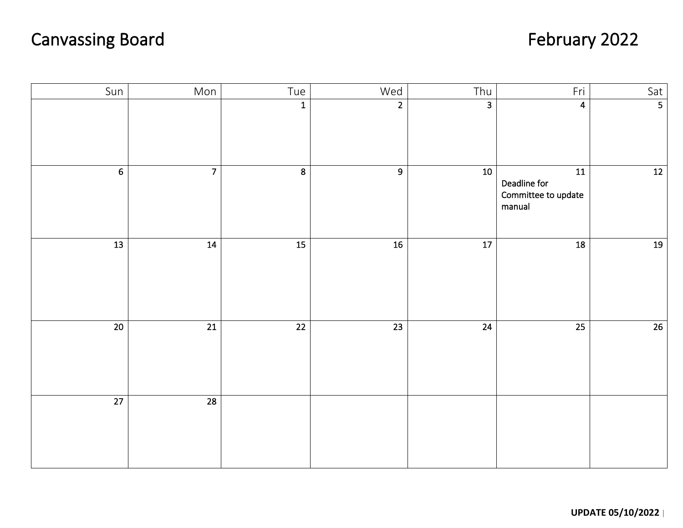## Canvassing Board February 2022

| Sun             | Mon             | Tue                     | Wed             | Thu                     | Fri                                                              | Sat                     |
|-----------------|-----------------|-------------------------|-----------------|-------------------------|------------------------------------------------------------------|-------------------------|
|                 |                 | $\mathbf{1}$            | $\overline{2}$  | $\overline{\mathbf{3}}$ | 4                                                                | $\overline{\mathbf{5}}$ |
| $\overline{6}$  | $\overline{7}$  | $\overline{\mathbf{8}}$ | $\overline{9}$  | 10                      | $\overline{11}$<br>Deadline for<br>Committee to update<br>manual | 12                      |
| $\overline{13}$ | 14              | $\overline{15}$         | 16              | $\overline{17}$         | 18                                                               | 19                      |
| $\overline{20}$ | $\overline{21}$ | $\overline{22}$         | $\overline{23}$ | $\overline{24}$         | $\overline{25}$                                                  | 26                      |
| $\overline{27}$ | $\overline{28}$ |                         |                 |                         |                                                                  |                         |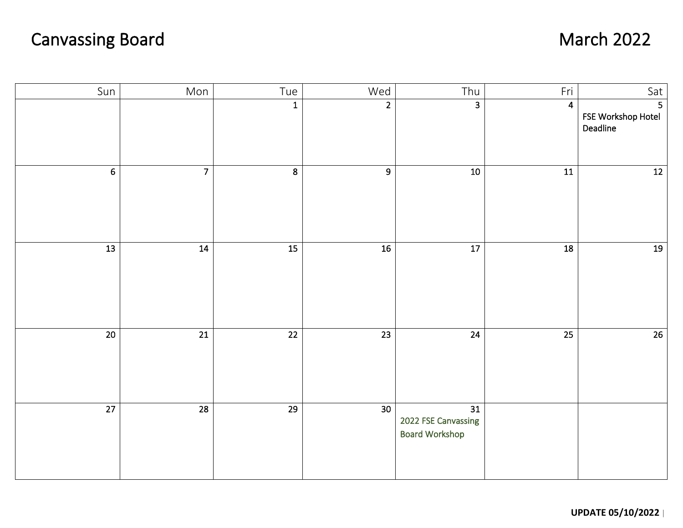## Canvassing Board March 2022

| Sun             | Mon             | Tue             | Wed             | Thu                                                | Fri             | Sat                                              |
|-----------------|-----------------|-----------------|-----------------|----------------------------------------------------|-----------------|--------------------------------------------------|
|                 |                 | $\overline{1}$  | $\overline{2}$  | $\overline{\mathbf{3}}$                            | $\overline{4}$  | $\overline{5}$<br>FSE Workshop Hotel<br>Deadline |
| $6\phantom{1}$  | 7 <sup>1</sup>  | 8               | 9               | $10\,$                                             | 11              | $12$                                             |
| $\frac{1}{13}$  | 14              | $\overline{15}$ | $\overline{16}$ | $\overline{17}$                                    | 18              | 19                                               |
| $\overline{20}$ | $\overline{21}$ | $\overline{22}$ | $\overline{23}$ | $\overline{24}$                                    | $\overline{25}$ | $\overline{26}$                                  |
| $\overline{27}$ | 28              | 29              | 30 <sup>2</sup> | 31<br>2022 FSE Canvassing<br><b>Board Workshop</b> |                 |                                                  |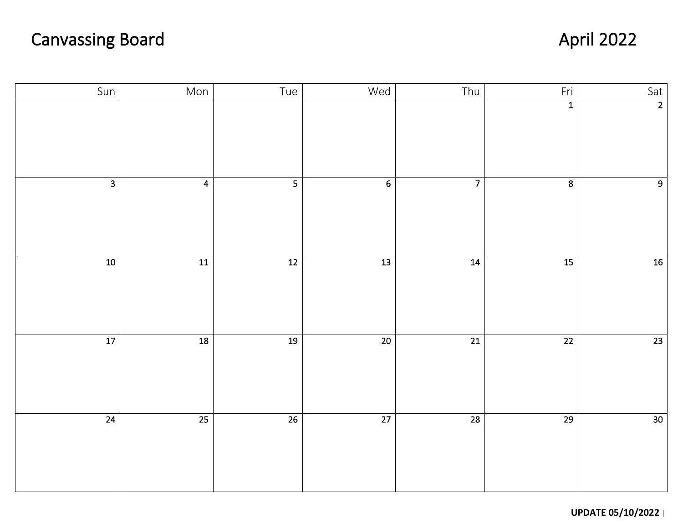## Canvassing Board **April 2022**

| Sun            | Mon             | Tue          | Wed              | Thu             | Fri             | Sat             |
|----------------|-----------------|--------------|------------------|-----------------|-----------------|-----------------|
|                |                 |              |                  |                 | $\overline{1}$  | $\overline{2}$  |
| $\overline{3}$ | $\overline{4}$  |              | $6 \overline{6}$ | $\overline{7}$  | $\overline{8}$  | 9 <sup>1</sup>  |
| 10             | $\overline{11}$ | $\boxed{12}$ | $\overline{13}$  | $\overline{14}$ | $\overline{15}$ | $16\,$          |
| 17             | $\overline{18}$ | 19           | $\overline{20}$  | $\overline{21}$ | $\overline{22}$ | $\overline{23}$ |
| 24             | 25              | 26           | $\overline{27}$  | $\overline{28}$ | $\overline{29}$ | 30 <sup>7</sup> |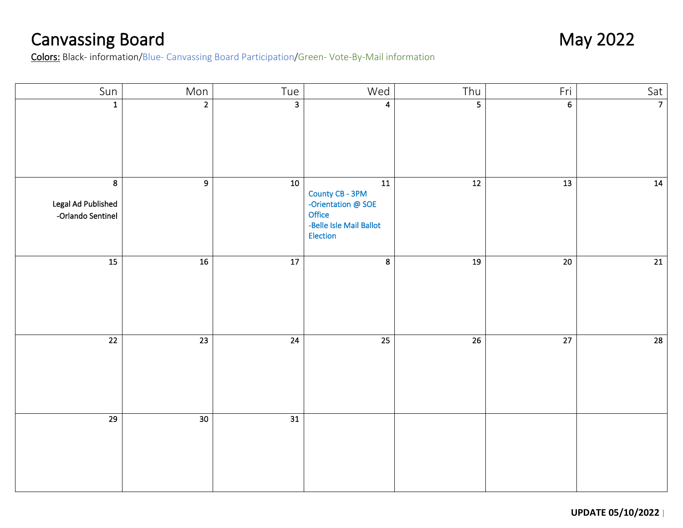Canvassing Board<br>
Colors: Black- information/Blue- Canvassing Board Participation/Green- Vote-By-Mail information<br>
Colors: Black- information/Blue- Canvassing Board Participation/Green- Vote-By-Mail information

| Sun                                                       | Mon             | Tue                     | Wed                                                                                                  | Thu             | Fri             | Sat            |
|-----------------------------------------------------------|-----------------|-------------------------|------------------------------------------------------------------------------------------------------|-----------------|-----------------|----------------|
| $\mathbf{1}$                                              | $\overline{2}$  | $\overline{\mathbf{3}}$ | $\overline{\mathbf{4}}$                                                                              | $\overline{5}$  | 6               | $\overline{7}$ |
| 8 <sup>°</sup><br>Legal Ad Published<br>-Orlando Sentinel | $\overline{9}$  | ${\bf 10}$              | ${\bf 11}$<br>County CB - 3PM<br>-Orientation @ SOE<br>Office<br>-Belle Isle Mail Ballot<br>Election | $\overline{12}$ | $\overline{13}$ | 14             |
| 15                                                        | 16              | $\overline{17}$         | 8                                                                                                    | 19              | $\overline{20}$ | 21             |
| $\overline{22}$                                           | 23              | $\overline{24}$         | $\overline{25}$                                                                                      | $\overline{26}$ | $\overline{27}$ | 28             |
| $\overline{29}$                                           | 30 <sup>7</sup> | $\overline{31}$         |                                                                                                      |                 |                 |                |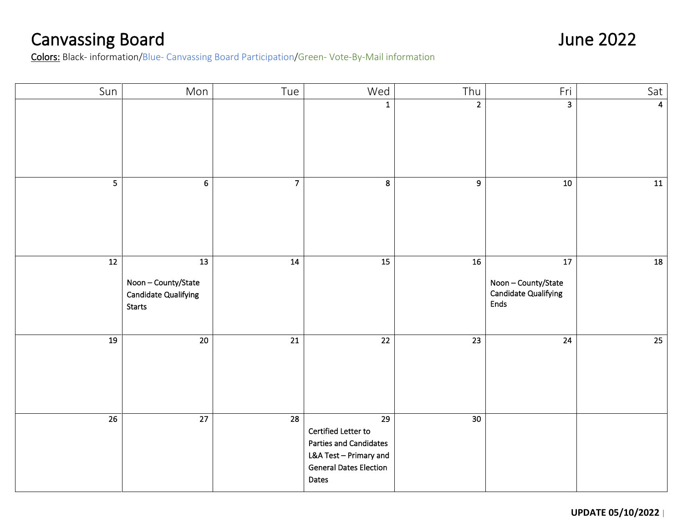Canvassing Board June 2022<br>
Colors: Black- information/Blue- Canvassing Board Participation/Green- Vote-By-Mail information

| Sun             | Mon                                                                     | Tue             | Wed                                                                                                                                         | Thu             | Fri                                                                         | Sat $ $        |
|-----------------|-------------------------------------------------------------------------|-----------------|---------------------------------------------------------------------------------------------------------------------------------------------|-----------------|-----------------------------------------------------------------------------|----------------|
|                 |                                                                         |                 | $\mathbf{1}$                                                                                                                                | $\overline{2}$  | $\overline{\mathbf{3}}$                                                     | $\overline{4}$ |
| 5               | 6 <sup>1</sup>                                                          | $\overline{7}$  | $\boldsymbol{8}$                                                                                                                            | 9               | 10                                                                          | 11             |
| $\overline{12}$ | 13<br>Noon-County/State<br><b>Candidate Qualifying</b><br><b>Starts</b> | $\overline{14}$ | $\overline{15}$                                                                                                                             | 16              | $\overline{17}$<br>Noon-County/State<br><b>Candidate Qualifying</b><br>Ends | 18             |
| 19              | $\overline{20}$                                                         | $\overline{21}$ | $\overline{22}$                                                                                                                             | $\overline{23}$ | $\overline{24}$                                                             | 25             |
| $\overline{26}$ | $\overline{27}$                                                         | $\overline{28}$ | $\overline{29}$<br>Certified Letter to<br><b>Parties and Candidates</b><br>L&A Test - Primary and<br><b>General Dates Election</b><br>Dates | 30              |                                                                             |                |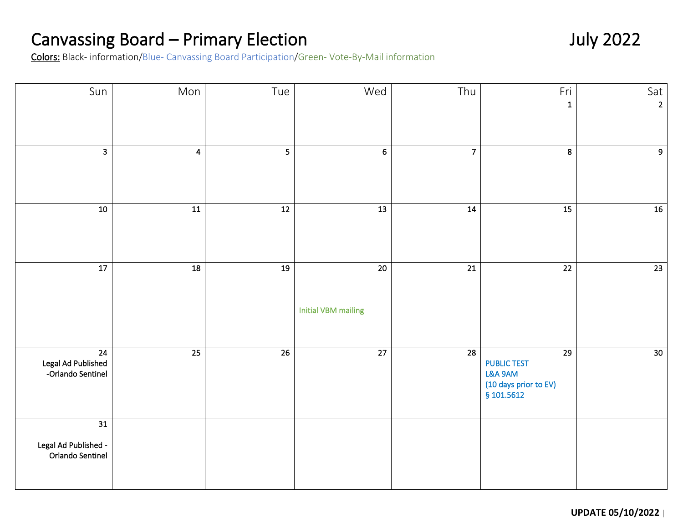## Canvassing Board – Primary Election<br>Colors: Black- information/Blue- Canvassing Board Participation/Green- Vote-By-Mail information

| Sun                                                         | Mon                     | Tue                     | Wed                                           | Thu             | Fri                                                                                     | Sat             |
|-------------------------------------------------------------|-------------------------|-------------------------|-----------------------------------------------|-----------------|-----------------------------------------------------------------------------------------|-----------------|
|                                                             |                         |                         |                                               |                 | $\mathbf{1}$                                                                            | $\overline{2}$  |
| $\overline{\mathbf{a}}$                                     | $\overline{\mathbf{4}}$ | $\overline{\mathbf{5}}$ | $\boldsymbol{6}$                              | $\overline{7}$  | 8                                                                                       | $\overline{9}$  |
| 10                                                          | $\overline{11}$         | $\overline{12}$         | $\frac{13}{13}$                               | 14              | $\overline{15}$                                                                         | 16              |
| $\overline{17}$                                             | $\overline{18}$         | 19                      | $\overline{20}$<br><b>Initial VBM mailing</b> | $\overline{21}$ | $\overline{22}$                                                                         | 23              |
| $\overline{24}$<br>Legal Ad Published<br>-Orlando Sentinel  | $\overline{25}$         | $\overline{26}$         | $\overline{27}$                               | $\overline{28}$ | $\overline{29}$<br><b>PUBLIC TEST</b><br>L&A 9AM<br>(10 days prior to EV)<br>§ 101.5612 | 30 <sup>7</sup> |
| $\overline{31}$<br>Legal Ad Published -<br>Orlando Sentinel |                         |                         |                                               |                 |                                                                                         |                 |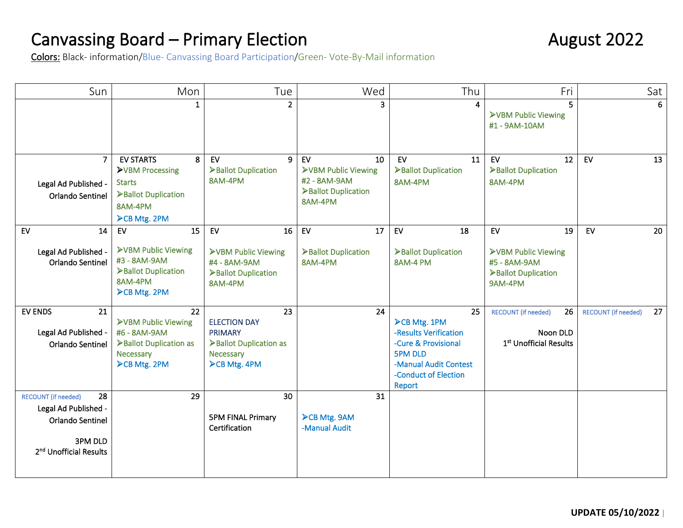# Canvassing Board – Primary Election<br>
Colors: Black- information/Blue- Canvassing Board Participation/Green- Vote-By-Mail information

| Sun                                                                                                                           | Mon                                                                                                        | Tue                                                                                                       | Wed                                                                                        | Thu                                                                                                                                                    | Fri                                                                    | Sat                              |
|-------------------------------------------------------------------------------------------------------------------------------|------------------------------------------------------------------------------------------------------------|-----------------------------------------------------------------------------------------------------------|--------------------------------------------------------------------------------------------|--------------------------------------------------------------------------------------------------------------------------------------------------------|------------------------------------------------------------------------|----------------------------------|
|                                                                                                                               | $\mathbf{1}$                                                                                               | $\overline{2}$                                                                                            | 3                                                                                          | 4                                                                                                                                                      | 5<br>>VBM Public Viewing<br>#1 - 9AM-10AM                              |                                  |
| $\overline{7}$<br>Legal Ad Published -<br>Orlando Sentinel                                                                    | <b>EV STARTS</b><br>8<br>>VBM Processing<br><b>Starts</b><br>>Ballot Duplication<br>8AM-4PM<br>CB Mtg. 2PM | EV<br>9<br>>Ballot Duplication<br>8AM-4PM                                                                 | EV<br>10<br><b>&gt;VBM Public Viewing</b><br>#2 - 8AM-9AM<br>Ballot Duplication<br>8AM-4PM | EV<br>11<br>>Ballot Duplication<br>8AM-4PM                                                                                                             | EV<br>12<br>Ballot Duplication<br>8AM-4PM                              | EV<br>13                         |
| 14<br>EV                                                                                                                      | 15<br>EV                                                                                                   | 16<br>EV                                                                                                  | EV<br>17                                                                                   | EV<br>18                                                                                                                                               | ${\sf EV}$<br>19                                                       | EV<br>20                         |
| Legal Ad Published -<br>Orlando Sentinel                                                                                      | >VBM Public Viewing<br>#3 - 8AM-9AM<br>>Ballot Duplication<br>8AM-4PM<br><b>≻CB Mtg. 2PM</b>               | >VBM Public Viewing<br>#4 - 8AM-9AM<br>Ballot Duplication<br>8AM-4PM                                      | Ballot Duplication<br>8AM-4PM                                                              | >Ballot Duplication<br>8AM-4 PM                                                                                                                        | >VBM Public Viewing<br>#5 - 8AM-9AM<br>>Ballot Duplication<br>9AM-4PM  |                                  |
| <b>EV ENDS</b><br>21<br>Legal Ad Published -<br>Orlando Sentinel                                                              | 22<br>>VBM Public Viewing<br>#6 - 8AM-9AM<br>>Ballot Duplication as<br>Necessary<br><b>≻CB Mtg. 2PM</b>    | 23<br><b>ELECTION DAY</b><br><b>PRIMARY</b><br>>Ballot Duplication as<br>Necessary<br><b>≻CB Mtg. 4PM</b> | 24                                                                                         | 25<br><b>≻CB Mtg. 1PM</b><br>-Results Verification<br>-Cure & Provisional<br><b>5PM DLD</b><br>-Manual Audit Contest<br>-Conduct of Election<br>Report | 26<br><b>RECOUNT (if needed)</b><br>Noon DLD<br>1st Unofficial Results | 27<br><b>RECOUNT</b> (if needed) |
| 28<br><b>RECOUNT</b> (if needed)<br>Legal Ad Published -<br>Orlando Sentinel<br>3PM DLD<br>2 <sup>nd</sup> Unofficial Results | 29                                                                                                         | 30<br><b>5PM FINAL Primary</b><br>Certification                                                           | 31<br>>CB Mtg. 9AM<br>-Manual Audit                                                        |                                                                                                                                                        |                                                                        |                                  |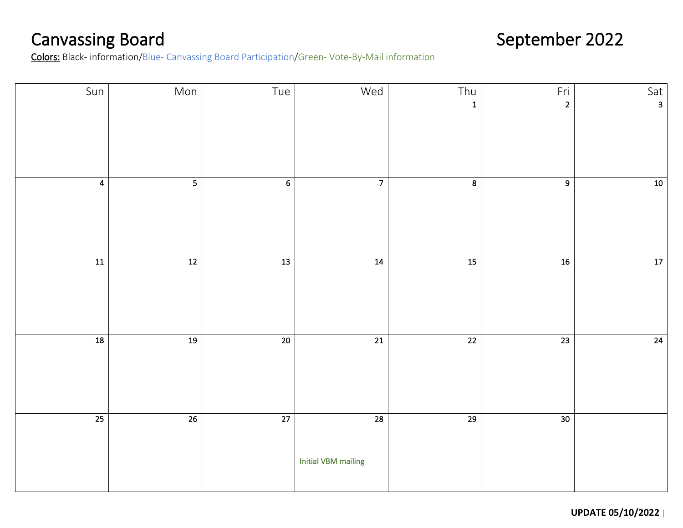Canvassing Board September 2022<br>
September 2022 Colors: Black- information/Blue- Canvassing Board Participation/Green- Vote-By-Mail information

| Sun             | Mon             | Tue              | Wed                                           | Thu                     | Fri             | $\begin{array}{c c}\n\hline\n\text{Sat} \\ \hline\n\end{array}$ |
|-----------------|-----------------|------------------|-----------------------------------------------|-------------------------|-----------------|-----------------------------------------------------------------|
|                 |                 |                  |                                               | $\mathbf 1$             | $\overline{2}$  |                                                                 |
| $\overline{4}$  | $5\phantom{a}$  | $\boldsymbol{6}$ | $\overline{7}$                                | $\overline{\mathbf{8}}$ | $\overline{9}$  | $10\,$                                                          |
| $\frac{11}{11}$ | 12              | $\overline{13}$  | 14                                            | $\overline{15}$         | 16              | 17                                                              |
| $\boxed{18}$    | 19              | 20               | $\overline{21}$                               | $\overline{22}$         | $\overline{23}$ | $\overline{24}$                                                 |
| 25              | $\overline{26}$ | $\overline{27}$  | $\overline{28}$<br><b>Initial VBM mailing</b> | $\overline{29}$         | $\overline{30}$ |                                                                 |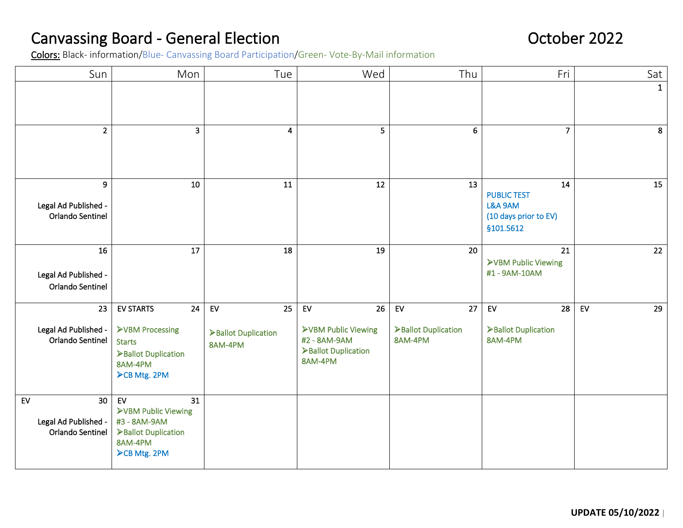## Canvassing Board - General Election<br>
Colors: Black- information/Blue- Canvassing Board Participation/Green- Vote-By-Mail information<br>
Colors: Black- information/Blue- Canvassing Board Participation/Green- Vote-By-Mail info

| Sun                                                                      | Mon                                                                                                                 | Tue                                        | Wed                                                                               | Thu                                        | Fri                                                                        | Sat          |
|--------------------------------------------------------------------------|---------------------------------------------------------------------------------------------------------------------|--------------------------------------------|-----------------------------------------------------------------------------------|--------------------------------------------|----------------------------------------------------------------------------|--------------|
|                                                                          |                                                                                                                     |                                            |                                                                                   |                                            |                                                                            | $\mathbf{1}$ |
| $\overline{2}$                                                           | 3                                                                                                                   | 4                                          | 5                                                                                 | 6                                          | $\overline{7}$                                                             | 8            |
| 9<br>Legal Ad Published -<br>Orlando Sentinel                            | 10                                                                                                                  | 11                                         | 12                                                                                | 13                                         | 14<br><b>PUBLIC TEST</b><br>L&A 9AM<br>(10 days prior to EV)<br>\$101.5612 | 15           |
| 16<br>Legal Ad Published -<br>Orlando Sentinel                           | 17                                                                                                                  | 18                                         | 19                                                                                | 20                                         | 21<br>>VBM Public Viewing<br>#1-9AM-10AM                                   | 22           |
| 23<br>Legal Ad Published -<br>Orlando Sentinel                           | <b>EV STARTS</b><br>24<br>>VBM Processing<br><b>Starts</b><br>>Ballot Duplication<br>8AM-4PM<br><b>≻CB Mtg. 2PM</b> | EV<br>25<br>>Ballot Duplication<br>8AM-4PM | 26<br>EV<br>>VBM Public Viewing<br>#2 - 8AM-9AM<br>>Ballot Duplication<br>8AM-4PM | EV<br>27<br>>Ballot Duplication<br>8AM-4PM | 28<br>EV<br>>Ballot Duplication<br>8AM-4PM                                 | EV<br>29     |
| EV<br>30 <sub>o</sub><br>Legal Ad Published -<br><b>Orlando Sentinel</b> | EV<br>31<br>>VBM Public Viewing<br>#3 - 8AM-9AM<br>Ballot Duplication<br>8AM-4PM<br><b>≻CB Mtg. 2PM</b>             |                                            |                                                                                   |                                            |                                                                            |              |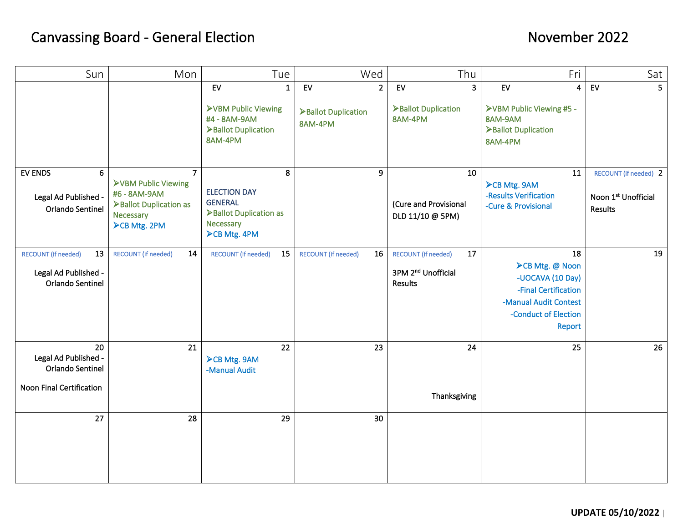### Canvassing Board - General Election **November 2022**

| Sun                                                                          | Mon                                                                                                                 | Tue                                                                                                   | Wed                                                            | Thu                                                                           | Fri                                                                                                                                 | Sat                                                     |
|------------------------------------------------------------------------------|---------------------------------------------------------------------------------------------------------------------|-------------------------------------------------------------------------------------------------------|----------------------------------------------------------------|-------------------------------------------------------------------------------|-------------------------------------------------------------------------------------------------------------------------------------|---------------------------------------------------------|
|                                                                              |                                                                                                                     | EV<br>$\mathbf{1}$<br><b>&gt;VBM Public Viewing</b><br>#4 - 8AM-9AM<br>>Ballot Duplication<br>8AM-4PM | ${\sf EV}$<br>2 <sup>1</sup><br>>Ballot Duplication<br>8AM-4PM | EV<br>$\overline{\mathbf{3}}$<br>>Ballot Duplication<br>8AM-4PM               | EV<br>$\overline{4}$<br>>VBM Public Viewing #5 -<br>8AM-9AM<br>>Ballot Duplication<br>8AM-4PM                                       | EV<br>5 <sup>1</sup>                                    |
| <b>EV ENDS</b><br>6<br>Legal Ad Published -<br><b>Orlando Sentinel</b>       | $\overline{7}$<br>>VBM Public Viewing<br>#6 - 8AM-9AM<br>>Ballot Duplication as<br>Necessary<br><b>≻CB Mtg. 2PM</b> | 8<br><b>ELECTION DAY</b><br><b>GENERAL</b><br>>Ballot Duplication as<br>Necessary<br>CB Mtg. 4PM      | 9                                                              | 10<br>(Cure and Provisional<br>DLD 11/10 @ 5PM)                               | 11<br>>CB Mtg. 9AM<br>-Results Verification<br>-Cure & Provisional                                                                  | RECOUNT (if needed) 2<br>Noon 1st Unofficial<br>Results |
| 13<br><b>RECOUNT</b> (if needed)<br>Legal Ad Published -<br>Orlando Sentinel | 14<br><b>RECOUNT (if needed)</b>                                                                                    | 15<br><b>RECOUNT</b> (if needed)                                                                      | 16<br><b>RECOUNT</b> (if needed)                               | 17<br><b>RECOUNT</b> (if needed)<br>3PM 2 <sup>nd</sup> Unofficial<br>Results | 18<br><b>≻CB Mtg. @ Noon</b><br>-UOCAVA (10 Day)<br>-Final Certification<br>-Manual Audit Contest<br>-Conduct of Election<br>Report | 19                                                      |
| 20<br>Legal Ad Published -<br>Orlando Sentinel<br>Noon Final Certification   | 21                                                                                                                  | 22<br><b>≻CB Mtg. 9AM</b><br>-Manual Audit                                                            | 23                                                             | 24<br>Thanksgiving                                                            | 25                                                                                                                                  | 26                                                      |
| 27                                                                           | 28                                                                                                                  | 29                                                                                                    | 30                                                             |                                                                               |                                                                                                                                     |                                                         |